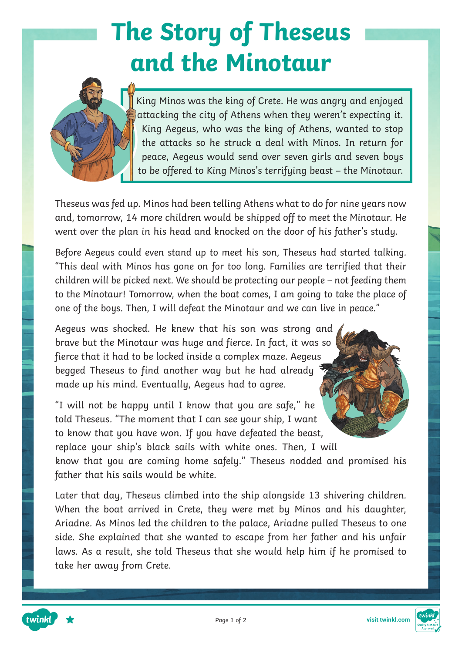## **The Story of Theseus and the Minotaur**



King Minos was the king of Crete. He was angry and enjoyed attacking the city of Athens when they weren't expecting it. King Aegeus, who was the king of Athens, wanted to stop the attacks so he struck a deal with Minos. In return for peace, Aegeus would send over seven girls and seven boys to be offered to King Minos's terrifying beast – the Minotaur.

Theseus was fed up. Minos had been telling Athens what to do for nine years now and, tomorrow, 14 more children would be shipped off to meet the Minotaur. He went over the plan in his head and knocked on the door of his father's study.

Before Aegeus could even stand up to meet his son, Theseus had started talking. "This deal with Minos has gone on for too long. Families are terrified that their children will be picked next. We should be protecting our people – not feeding them to the Minotaur! Tomorrow, when the boat comes, I am going to take the place of one of the boys. Then, I will defeat the Minotaur and we can live in peace."

Aegeus was shocked. He knew that his son was strong and brave but the Minotaur was huge and fierce. In fact, it was so fierce that it had to be locked inside a complex maze. Aegeus begged Theseus to find another way but he had already made up his mind. Eventually, Aegeus had to agree.

"I will not be happy until I know that you are safe," he told Theseus. "The moment that I can see your ship, I want to know that you have won. If you have defeated the beast, replace your ship's black sails with white ones. Then, I will

know that you are coming home safely." Theseus nodded and promised his father that his sails would be white.

Later that day, Theseus climbed into the ship alongside 13 shivering children. When the boat arrived in Crete, they were met by Minos and his daughter, Ariadne. As Minos led the children to the palace, Ariadne pulled Theseus to one side. She explained that she wanted to escape from her father and his unfair laws. As a result, she told Theseus that she would help him if he promised to take her away from Crete.



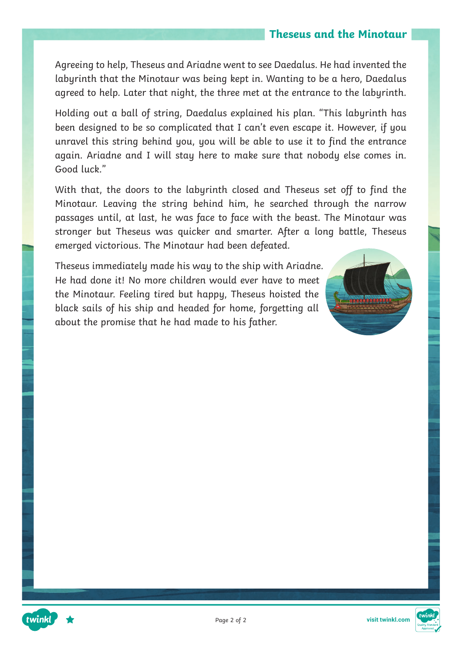### **Theseus and the Minotaur**

Agreeing to help, Theseus and Ariadne went to see Daedalus. He had invented the labyrinth that the Minotaur was being kept in. Wanting to be a hero, Daedalus agreed to help. Later that night, the three met at the entrance to the labyrinth.

Holding out a ball of string, Daedalus explained his plan. "This labyrinth has been designed to be so complicated that I can't even escape it. However, if you unravel this string behind you, you will be able to use it to find the entrance again. Ariadne and I will stay here to make sure that nobody else comes in. Good luck."

With that, the doors to the labyrinth closed and Theseus set off to find the Minotaur. Leaving the string behind him, he searched through the narrow passages until, at last, he was face to face with the beast. The Minotaur was stronger but Theseus was quicker and smarter. After a long battle, Theseus emerged victorious. The Minotaur had been defeated.

Theseus immediately made his way to the ship with Ariadne. He had done it! No more children would ever have to meet the Minotaur. Feeling tired but happy, Theseus hoisted the black sails of his ship and headed for home, forgetting all about the promise that he had made to his father.







twinkl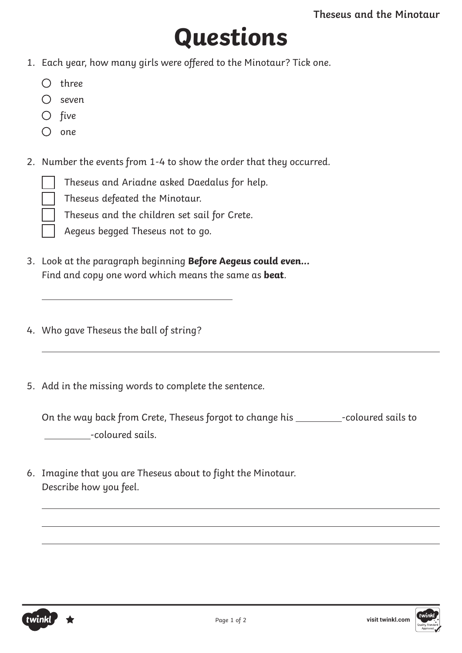## **Questions**

- 1. Each year, how many girls were offered to the Minotaur? Tick one.
	- $O$  three
	- $\bigcap$  seven
	- $O$  five
	- $\bigcirc$  one

 $\overline{a}$ 

2. Number the events from 1-4 to show the order that they occurred.

Theseus and Ariadne asked Daedalus for help.

Theseus defeated the Minotaur.

Theseus and the children set sail for Crete.

Aegeus begged Theseus not to go.

- 3. Look at the paragraph beginning **Before Aegeus could even...** Find and copy one word which means the same as **beat**.
- 4. Who gave Theseus the ball of string?
- 5. Add in the missing words to complete the sentence.

On the way back from Crete, Theseus forgot to change his \_\_\_\_\_\_\_\_\_-coloured sails to -coloured sails.

6. Imagine that you are Theseus about to fight the Minotaur. Describe how you feel.

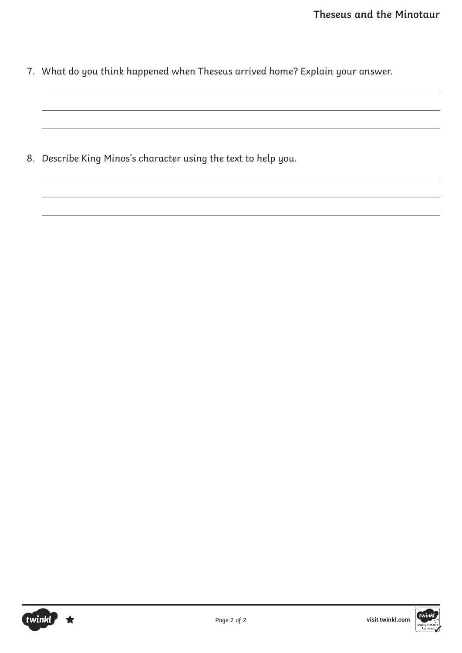7. What do you think happened when Theseus arrived home? Explain your answer.

8. Describe King Minos's character using the text to help you.

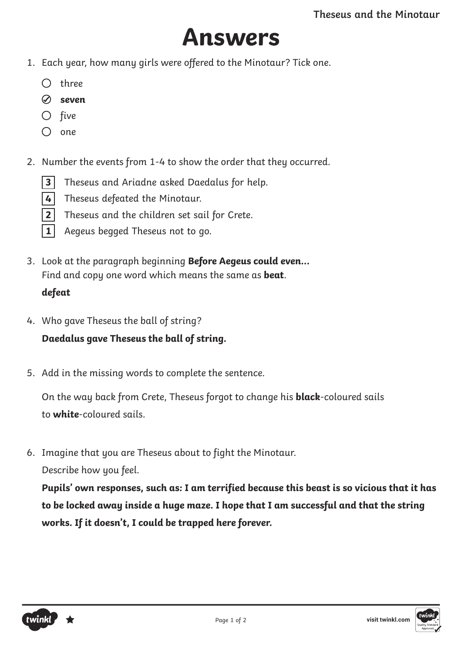### **Answers**

- 1. Each year, how many girls were offered to the Minotaur? Tick one.
	- $\bigcap$  three
	- **seven**
	- $O$  five
	- $\bigcirc$  one
- 2. Number the events from 1-4 to show the order that they occurred.
	- **3** Theseus and Ariadne asked Daedalus for help.
	- **4** Theseus defeated the Minotaur.
	- **2** Theseus and the children set sail for Crete.
	- **1** Aegeus begged Theseus not to go.
- 3. Look at the paragraph beginning **Before Aegeus could even...** Find and copy one word which means the same as **beat**. **defeat**
- 4. Who gave Theseus the ball of string? **Daedalus gave Theseus the ball of string.**
- 5. Add in the missing words to complete the sentence.

On the way back from Crete, Theseus forgot to change his **black**-coloured sails to **white**-coloured sails.

6. Imagine that you are Theseus about to fight the Minotaur. Describe how you feel.

**Pupils' own responses, such as: I am terrified because this beast is so vicious that it has to be locked away inside a huge maze. I hope that I am successful and that the string works. If it doesn't, I could be trapped here forever.**

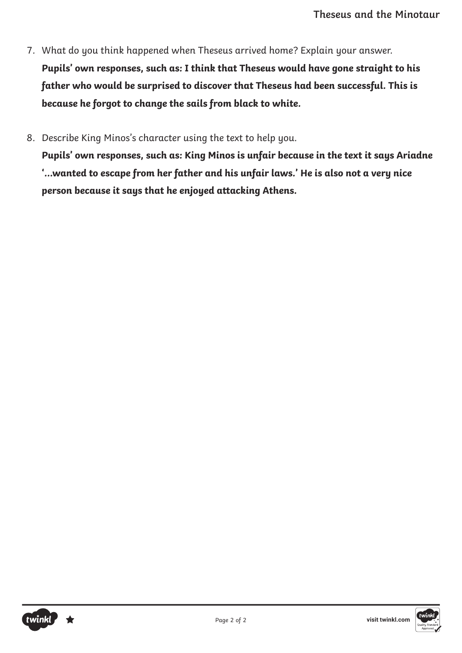- 7. What do you think happened when Theseus arrived home? Explain your answer. **Pupils' own responses, such as: I think that Theseus would have gone straight to his father who would be surprised to discover that Theseus had been successful. This is because he forgot to change the sails from black to white.**
- 8. Describe King Minos's character using the text to help you.

**Pupils' own responses, such as: King Minos is unfair because in the text it says Ariadne '…wanted to escape from her father and his unfair laws.' He is also not a very nice person because it says that he enjoyed attacking Athens.**

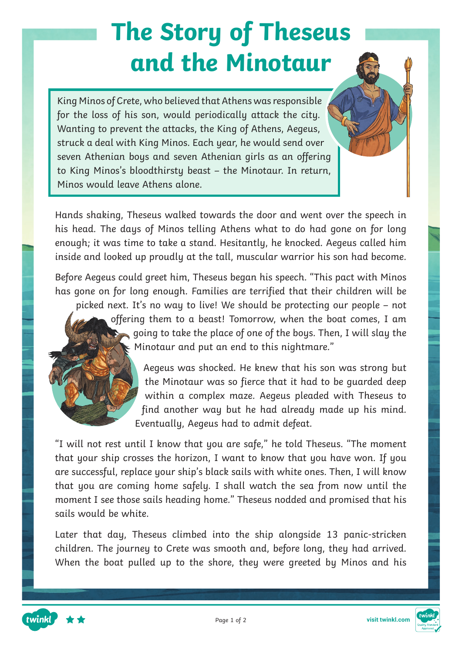# **The Story of Theseus and the Minotaur**

King Minos of Crete, who believed that Athens was responsible for the loss of his son, would periodically attack the city. Wanting to prevent the attacks, the King of Athens, Aegeus, struck a deal with King Minos. Each year, he would send over seven Athenian boys and seven Athenian girls as an offering to King Minos's bloodthirsty beast – the Minotaur. In return, Minos would leave Athens alone.

Hands shaking, Theseus walked towards the door and went over the speech in his head. The days of Minos telling Athens what to do had gone on for long enough; it was time to take a stand. Hesitantly, he knocked. Aegeus called him inside and looked up proudly at the tall, muscular warrior his son had become.

Before Aegeus could greet him, Theseus began his speech. "This pact with Minos has gone on for long enough. Families are terrified that their children will be picked next. It's no way to live! We should be protecting our people – not offering them to a beast! Tomorrow, when the boat comes, I am  $\Box$  going to take the place of one of the boys. Then, I will slay the Minotaur and put an end to this nightmare."

Aegeus was shocked. He knew that his son was strong but the Minotaur was so fierce that it had to be guarded deep within a complex maze. Aegeus pleaded with Theseus to find another way but he had already made up his mind. Eventually, Aegeus had to admit defeat.

"I will not rest until I know that you are safe," he told Theseus. "The moment that your ship crosses the horizon, I want to know that you have won. If you are successful, replace your ship's black sails with white ones. Then, I will know that you are coming home safely. I shall watch the sea from now until the moment I see those sails heading home." Theseus nodded and promised that his sails would be white.

Later that day, Theseus climbed into the ship alongside 13 panic-stricken children. The journey to Crete was smooth and, before long, they had arrived. When the boat pulled up to the shore, they were greeted by Minos and his



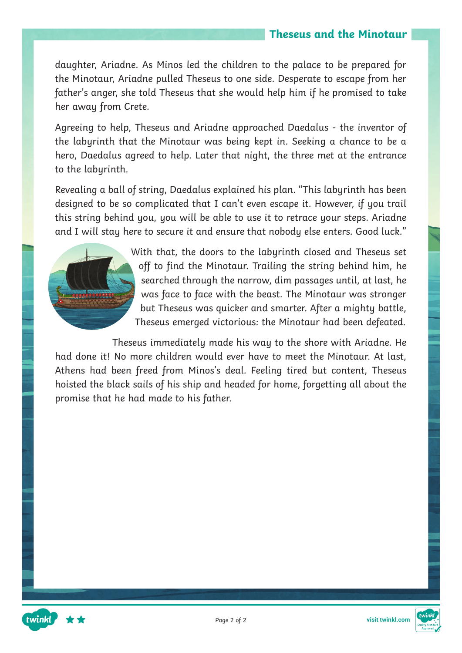### **Theseus and the Minotaur**

daughter, Ariadne. As Minos led the children to the palace to be prepared for the Minotaur, Ariadne pulled Theseus to one side. Desperate to escape from her father's anger, she told Theseus that she would help him if he promised to take her away from Crete.

Agreeing to help, Theseus and Ariadne approached Daedalus - the inventor of the labyrinth that the Minotaur was being kept in. Seeking a chance to be a hero, Daedalus agreed to help. Later that night, the three met at the entrance to the labyrinth.

Revealing a ball of string, Daedalus explained his plan. "This labyrinth has been designed to be so complicated that I can't even escape it. However, if you trail this string behind you, you will be able to use it to retrace your steps. Ariadne and I will stay here to secure it and ensure that nobody else enters. Good luck."



twinkl

With that, the doors to the labyrinth closed and Theseus set off to find the Minotaur. Trailing the string behind him, he searched through the narrow, dim passages until, at last, he was face to face with the beast. The Minotaur was stronger but Theseus was quicker and smarter. After a mighty battle, Theseus emerged victorious: the Minotaur had been defeated.

Theseus immediately made his way to the shore with Ariadne. He had done it! No more children would ever have to meet the Minotaur. At last, Athens had been freed from Minos's deal. Feeling tired but content, Theseus hoisted the black sails of his ship and headed for home, forgetting all about the promise that he had made to his father.

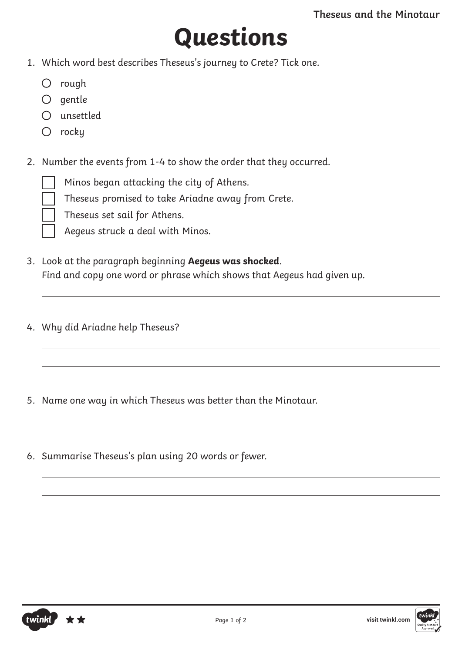# **Questions**

- 1. Which word best describes Theseus's journey to Crete? Tick one.
	- $O$  rough
	- $O$  gentle
	- unsettled
	- $\bigcirc$  rocku
- 2. Number the events from 1-4 to show the order that they occurred.
	- Minos began attacking the city of Athens.
	- Theseus promised to take Ariadne away from Crete.
	- Theseus set sail for Athens.
	- Aegeus struck a deal with Minos.
- 3. Look at the paragraph beginning **Aegeus was shocked**. Find and copy one word or phrase which shows that Aegeus had given up.
- 4. Why did Ariadne help Theseus?
- 5. Name one way in which Theseus was better than the Minotaur.
- 6. Summarise Theseus's plan using 20 words or fewer.

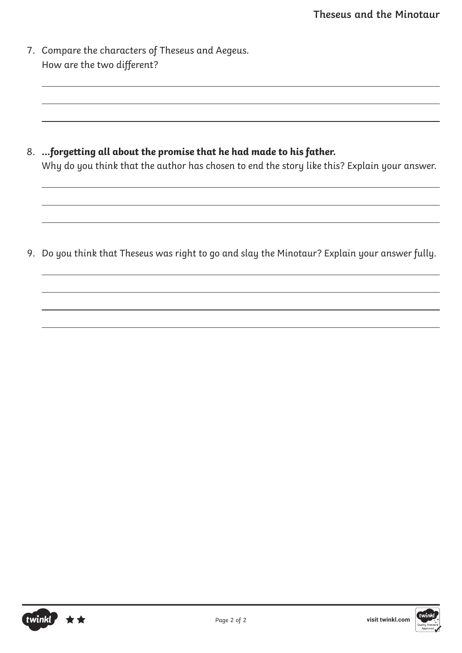7. Compare the characters of Theseus and Aegeus. How are the two different?

8. **…forgetting all about the promise that he had made to his father.** Why do you think that the author has chosen to end the story like this? Explain your answer.

9. Do you think that Theseus was right to go and slay the Minotaur? Explain your answer fully.



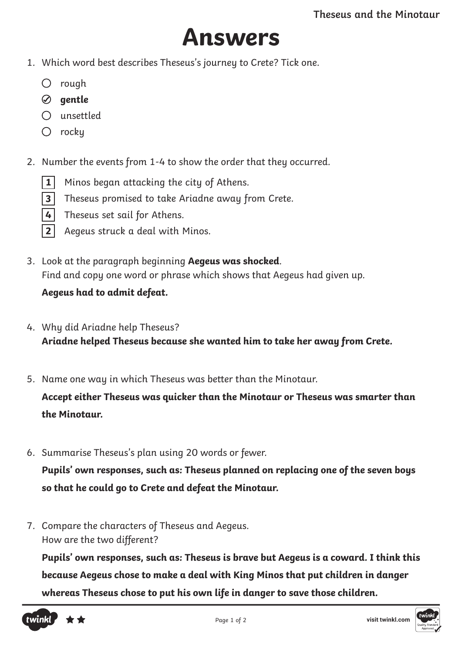## **Answers**

- 1. Which word best describes Theseus's journey to Crete? Tick one.
	- $O$  rough
	- **gentle**
	- unsettled
	- $\bigcirc$  rocku
- 2. Number the events from 1-4 to show the order that they occurred.
	- **1** Minos began attacking the city of Athens.
	- **3** Theseus promised to take Ariadne away from Crete.
	- 4 Theseus set sail for Athens.
	- **2** Aegeus struck a deal with Minos.
- 3. Look at the paragraph beginning **Aegeus was shocked**. Find and copy one word or phrase which shows that Aegeus had given up.

### **Aegeus had to admit defeat.**

- 4. Why did Ariadne help Theseus? **Ariadne helped Theseus because she wanted him to take her away from Crete.**
- 5. Name one way in which Theseus was better than the Minotaur.

**Accept either Theseus was quicker than the Minotaur or Theseus was smarter than the Minotaur.**

6. Summarise Theseus's plan using 20 words or fewer.

**Pupils' own responses, such as: Theseus planned on replacing one of the seven boys so that he could go to Crete and defeat the Minotaur.**

7. Compare the characters of Theseus and Aegeus. How are the two different?

**Pupils' own responses, such as: Theseus is brave but Aegeus is a coward. I think this because Aegeus chose to make a deal with King Minos that put children in danger whereas Theseus chose to put his own life in danger to save those children.**



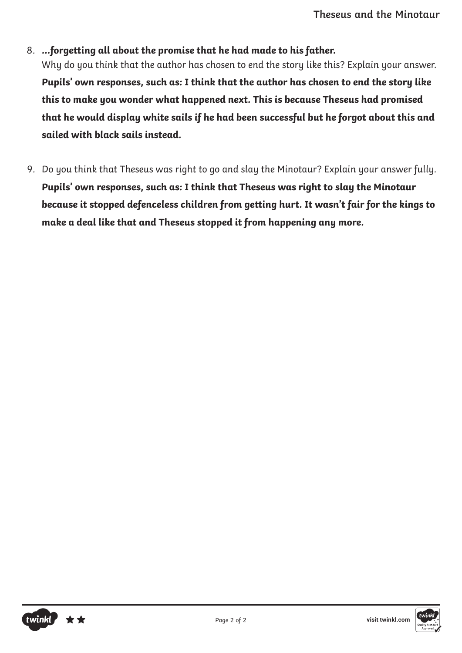#### 8. **…forgetting all about the promise that he had made to his father.**

Why do you think that the author has chosen to end the story like this? Explain your answer. **Pupils' own responses, such as: I think that the author has chosen to end the story like this to make you wonder what happened next. This is because Theseus had promised that he would display white sails if he had been successful but he forgot about this and sailed with black sails instead.**

9. Do you think that Theseus was right to go and slay the Minotaur? Explain your answer fully. **Pupils' own responses, such as: I think that Theseus was right to slay the Minotaur because it stopped defenceless children from getting hurt. It wasn't fair for the kings to make a deal like that and Theseus stopped it from happening any more.**

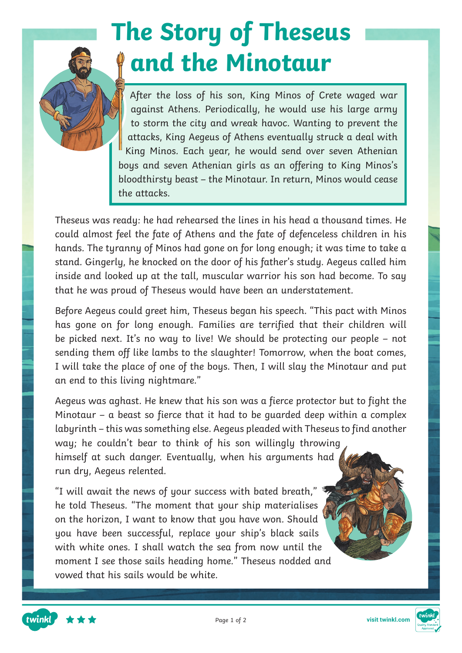# **The Story of Theseus and the Minotaur**

After the loss of his son, King Minos of Crete waged war against Athens. Periodically, he would use his large army to storm the city and wreak havoc. Wanting to prevent the attacks, King Aegeus of Athens eventually struck a deal with King Minos. Each year, he would send over seven Athenian boys and seven Athenian girls as an offering to King Minos's bloodthirsty beast – the Minotaur. In return, Minos would cease the attacks.

Theseus was ready: he had rehearsed the lines in his head a thousand times. He could almost feel the fate of Athens and the fate of defenceless children in his hands. The tyranny of Minos had gone on for long enough; it was time to take a stand. Gingerly, he knocked on the door of his father's study. Aegeus called him inside and looked up at the tall, muscular warrior his son had become. To say that he was proud of Theseus would have been an understatement.

Before Aegeus could greet him, Theseus began his speech. "This pact with Minos has gone on for long enough. Families are terrified that their children will be picked next. It's no way to live! We should be protecting our people – not sending them off like lambs to the slaughter! Tomorrow, when the boat comes, I will take the place of one of the boys. Then, I will slay the Minotaur and put an end to this living nightmare."

Aegeus was aghast. He knew that his son was a fierce protector but to fight the Minotaur – a beast so fierce that it had to be guarded deep within a complex labyrinth – this was something else. Aegeus pleaded with Theseus to find another way; he couldn't bear to think of his son willingly throwing himself at such danger. Eventually, when his arguments had run dry, Aegeus relented.

"I will await the news of your success with bated breath,"  $\overline{\mathbb{I}}$ he told Theseus. "The moment that your ship materialises on the horizon, I want to know that you have won. Should you have been successful, replace your ship's black sails with white ones. I shall watch the sea from now until the moment I see those sails heading home." Theseus nodded and vowed that his sails would be white.

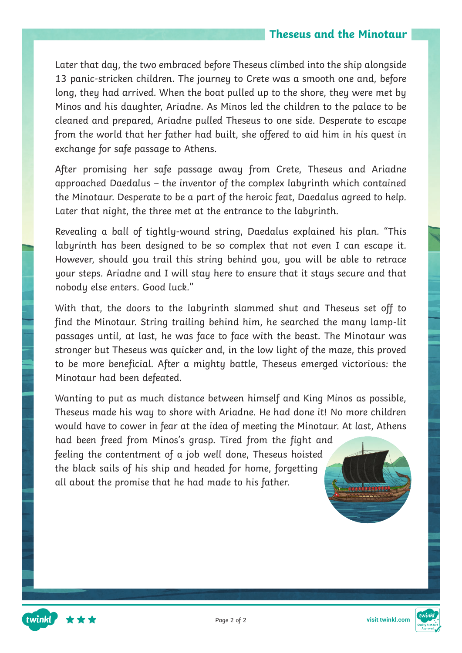### **Theseus and the Minotaur**

Later that day, the two embraced before Theseus climbed into the ship alongside 13 panic-stricken children. The journey to Crete was a smooth one and, before long, they had arrived. When the boat pulled up to the shore, they were met by Minos and his daughter, Ariadne. As Minos led the children to the palace to be cleaned and prepared, Ariadne pulled Theseus to one side. Desperate to escape from the world that her father had built, she offered to aid him in his quest in exchange for safe passage to Athens.

After promising her safe passage away from Crete, Theseus and Ariadne approached Daedalus – the inventor of the complex labyrinth which contained the Minotaur. Desperate to be a part of the heroic feat, Daedalus agreed to help. Later that night, the three met at the entrance to the labyrinth.

Revealing a ball of tightly-wound string, Daedalus explained his plan. "This labyrinth has been designed to be so complex that not even I can escape it. However, should you trail this string behind you, you will be able to retrace your steps. Ariadne and I will stay here to ensure that it stays secure and that nobody else enters. Good luck."

With that, the doors to the labyrinth slammed shut and Theseus set off to find the Minotaur. String trailing behind him, he searched the many lamp-lit passages until, at last, he was face to face with the beast. The Minotaur was stronger but Theseus was quicker and, in the low light of the maze, this proved to be more beneficial. After a mighty battle, Theseus emerged victorious: the Minotaur had been defeated.

Wanting to put as much distance between himself and King Minos as possible, Theseus made his way to shore with Ariadne. He had done it! No more children would have to cower in fear at the idea of meeting the Minotaur. At last, Athens

had been freed from Minos's grasp. Tired from the fight and feeling the contentment of a job well done, Theseus hoisted the black sails of his ship and headed for home, forgetting all about the promise that he had made to his father.





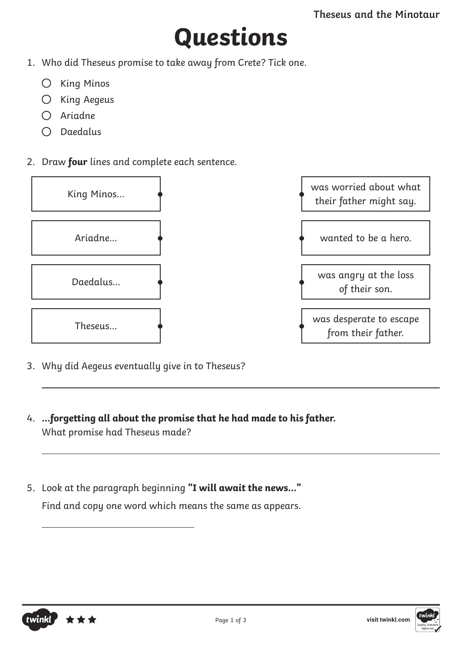## **Questions**

- 1. Who did Theseus promise to take away from Crete? Tick one.
	- $O$  King Minos
	- $O$  King Aegeus
	- Ariadne
	- $O$  Daedalus
- 2. Draw **four** lines and complete each sentence.



- 3. Why did Aegeus eventually give in to Theseus?
- 4. **...forgetting all about the promise that he had made to his father.** What promise had Theseus made?
- 5. Look at the paragraph beginning **"I will await the news..."** Find and copy one word which means the same as appears.



 $\overline{a}$ 

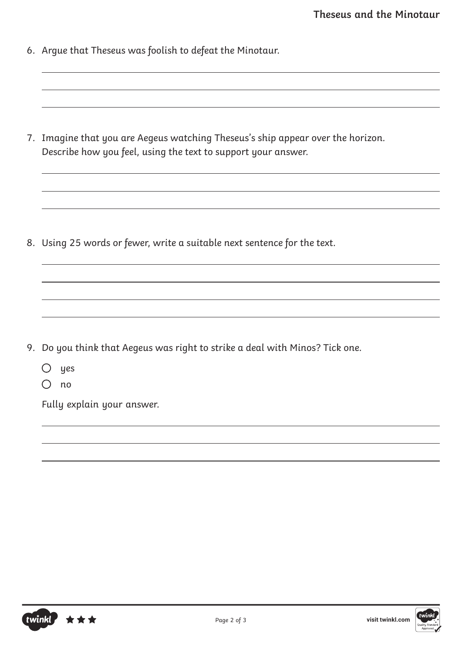6. Argue that Theseus was foolish to defeat the Minotaur.

7. Imagine that you are Aegeus watching Theseus's ship appear over the horizon. Describe how you feel, using the text to support your answer.

8. Using 25 words or fewer, write a suitable next sentence for the text.

- 9. Do you think that Aegeus was right to strike a deal with Minos? Tick one.
	- $O$  yes
	- $O$  no

Fully explain your answer.

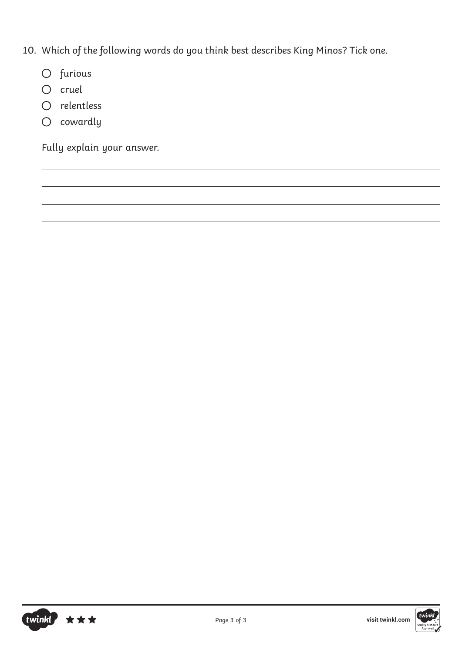- 10. Which of the following words do you think best describes King Minos? Tick one.
	- O furious
	- $O$  cruel
	- O relentless
	- $O$  cowardly

Fully explain your answer.



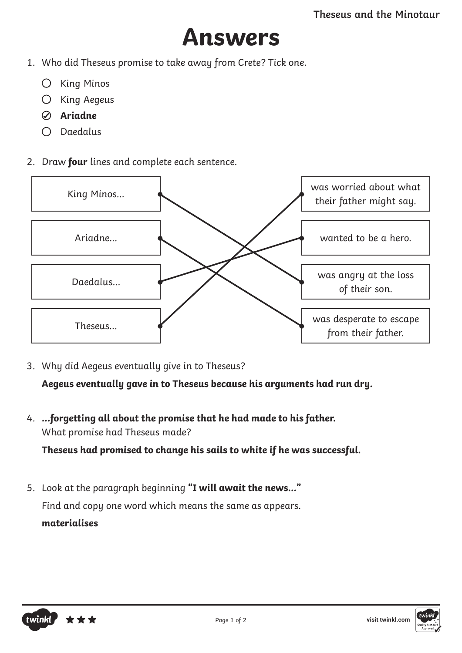### **Answers**

- 1. Who did Theseus promise to take away from Crete? Tick one.
	- $O$  King Minos
	- $O$  King Aegeus
	- **Ariadne**
	- $O$  Daedalus
- 2. Draw **four** lines and complete each sentence.



3. Why did Aegeus eventually give in to Theseus?

**Aegeus eventually gave in to Theseus because his arguments had run dry.**

4. **...forgetting all about the promise that he had made to his father.** What promise had Theseus made? **Theseus had promised to change his sails to white if he was successful.**

5. Look at the paragraph beginning **"I will await the news..."** Find and copy one word which means the same as appears. **materialises**